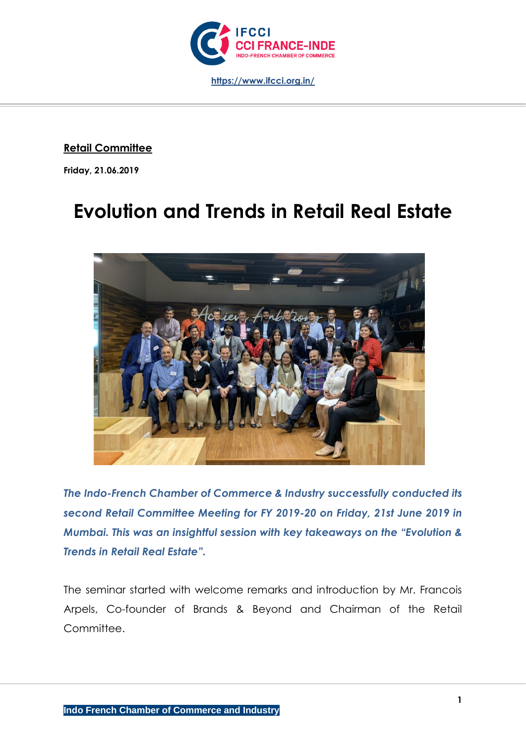

**Retail Committee**

**Friday, 21.06.2019**

# **Evolution and Trends in Retail Real Estate**



*The Indo-French Chamber of Commerce & Industry successfully conducted its second Retail Committee Meeting for FY 2019-20 on Friday, 21st June 2019 in Mumbai. This was an insightful session with key takeaways on the "Evolution & Trends in Retail Real Estate".*

The seminar started with welcome remarks and introduction by Mr. Francois Arpels, Co-founder of Brands & Beyond and Chairman of the Retail Committee.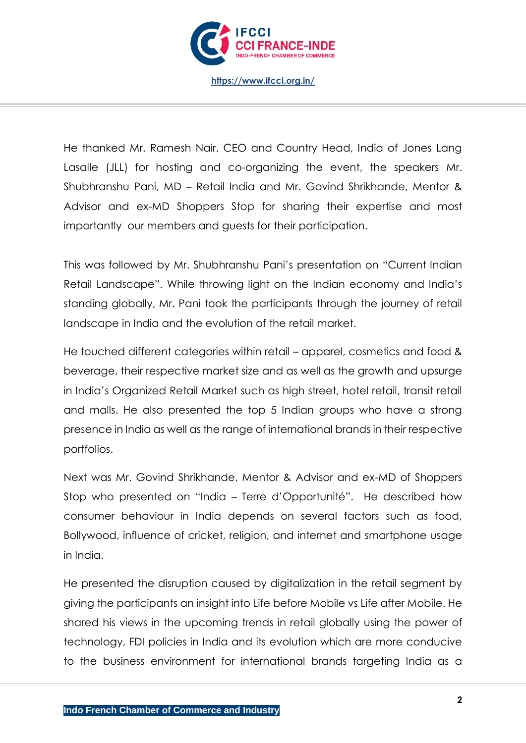

He thanked Mr. Ramesh Nair, CEO and Country Head, India of Jones Lang Lasalle (JLL) for hosting and co-organizing the event, the speakers Mr. Shubhranshu Pani, MD – Retail India and Mr. Govind Shrikhande, Mentor & Advisor and ex-MD Shoppers Stop for sharing their expertise and most importantly our members and guests for their participation.

This was followed by Mr. Shubhranshu Pani's presentation on "Current Indian Retail Landscape". While throwing light on the Indian economy and India's standing globally, Mr. Pani took the participants through the journey of retail landscape in India and the evolution of the retail market.

He touched different categories within retail – apparel, cosmetics and food & beverage, their respective market size and as well as the growth and upsurge in India's Organized Retail Market such as high street, hotel retail, transit retail and malls. He also presented the top 5 Indian groups who have a strong presence in India as well as the range of international brands in their respective portfolios.

Next was Mr. Govind Shrikhande, Mentor & Advisor and ex-MD of Shoppers Stop who presented on "India – Terre d'Opportunité". He described how consumer behaviour in India depends on several factors such as food, Bollywood, influence of cricket, religion, and internet and smartphone usage in India.

He presented the disruption caused by digitalization in the retail segment by giving the participants an insight into Life before Mobile vs Life after Mobile. He shared his views in the upcoming trends in retail globally using the power of technology, FDI policies in India and its evolution which are more conducive to the business environment for international brands targeting India as a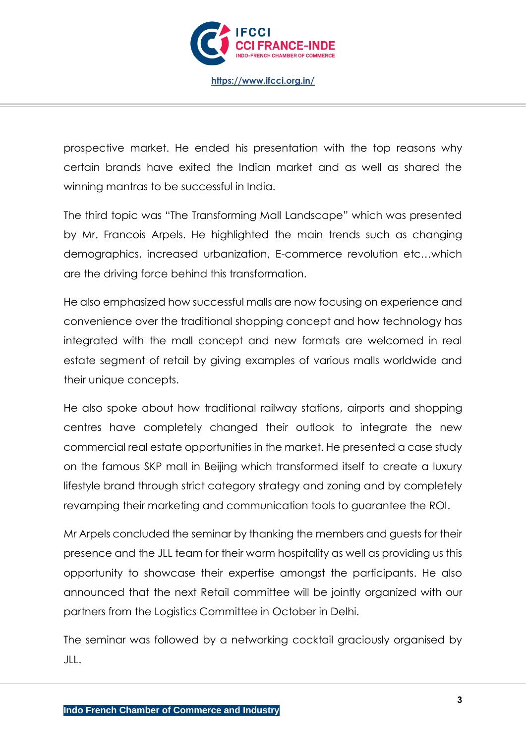

prospective market. He ended his presentation with the top reasons why certain brands have exited the Indian market and as well as shared the winning mantras to be successful in India.

The third topic was "The Transforming Mall Landscape" which was presented by Mr. Francois Arpels. He highlighted the main trends such as changing demographics, increased urbanization, E-commerce revolution etc…which are the driving force behind this transformation.

He also emphasized how successful malls are now focusing on experience and convenience over the traditional shopping concept and how technology has integrated with the mall concept and new formats are welcomed in real estate segment of retail by giving examples of various malls worldwide and their unique concepts.

He also spoke about how traditional railway stations, airports and shopping centres have completely changed their outlook to integrate the new commercial real estate opportunities in the market. He presented a case study on the famous SKP mall in Beijing which transformed itself to create a luxury lifestyle brand through strict category strategy and zoning and by completely revamping their marketing and communication tools to guarantee the ROI.

Mr Arpels concluded the seminar by thanking the members and guests for their presence and the JLL team for their warm hospitality as well as providing us this opportunity to showcase their expertise amongst the participants. He also announced that the next Retail committee will be jointly organized with our partners from the Logistics Committee in October in Delhi.

The seminar was followed by a networking cocktail graciously organised by JLL.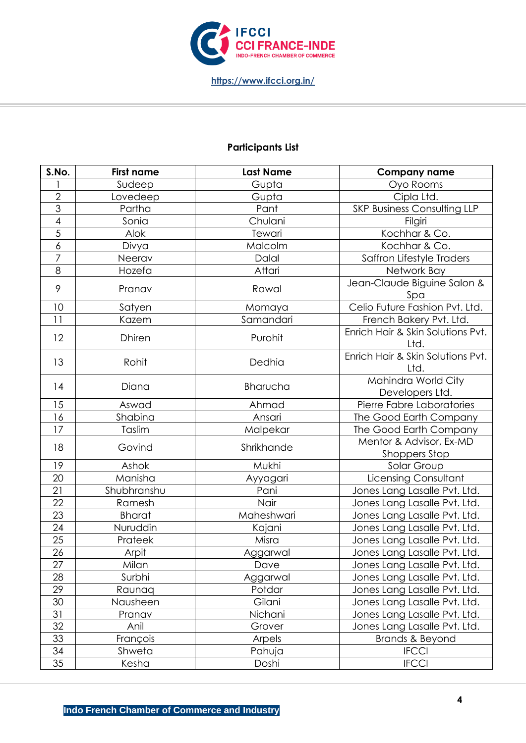

## **Participants List**

| S.No.           | <b>First name</b> | <b>Last Name</b> | <b>Company name</b>                       |
|-----------------|-------------------|------------------|-------------------------------------------|
|                 | Sudeep            | Gupta            | Oyo Rooms                                 |
| $\overline{2}$  | Lovedeep          | Gupta            | Cipla Ltd.                                |
| $\overline{3}$  | Partha            | Pant             | <b>SKP Business Consulting LLP</b>        |
| $\overline{4}$  | Sonia             | Chulani          | Filgiri                                   |
| $\overline{5}$  | Alok              | Tewari           | Kochhar & Co.                             |
| $\overline{6}$  | Divya             | Malcolm          | Kochhar & Co.                             |
| $\overline{7}$  | Neerav            | Dalal            | Saffron Lifestyle Traders                 |
| 8               | Hozefa            | Attari           | Network Bay                               |
| 9               | Pranav            | Rawal            | Jean-Claude Biguine Salon &<br>Spa        |
| 10              | Satyen            | Momaya           | Celio Future Fashion Pvt. Ltd.            |
| 11              | Kazem             | Samandari        | French Bakery Pvt. Ltd.                   |
| 12              | <b>Dhiren</b>     | Purohit          | Enrich Hair & Skin Solutions Pvt.<br>Ltd. |
| 13              | Rohit             | Dedhia           | Enrich Hair & Skin Solutions Pvt.<br>Ltd. |
| 14              | Diana             | Bharucha         | Mahindra World City<br>Developers Ltd.    |
| 15              | Aswad             | Ahmad            | Pierre Fabre Laboratories                 |
| 16              | Shabina           | Ansari           | The Good Earth Company                    |
| 17              | Taslim            | Malpekar         | The Good Earth Company                    |
| 18              | Govind            | Shrikhande       | Mentor & Advisor, Ex-MD<br>Shoppers Stop  |
| 19              | Ashok             | Mukhi            | Solar Group                               |
| 20              | Manisha           | Ayyagari         | Licensing Consultant                      |
| $\overline{21}$ | Shubhranshu       | Pani             | Jones Lang Lasalle Pvt. Ltd.              |
| 22              | Ramesh            | Nair             | Jones Lang Lasalle Pvt. Ltd.              |
| 23              | <b>Bharat</b>     | Maheshwari       | Jones Lang Lasalle Pvt. Ltd.              |
| 24              | Nuruddin          | Kajani           | Jones Lang Lasalle Pvt. Ltd.              |
| 25              | Prateek           | Misra            | Jones Lang Lasalle Pvt. Ltd.              |
| $\overline{26}$ | Arpit             | Aggarwal         | Jones Lang Lasalle Pvt. Ltd.              |
| $\overline{27}$ | Milan             | Dave             | Jones Lang Lasalle Pvt. Ltd.              |
| 28              | Surbhi            | Aggarwal         | Jones Lang Lasalle Pvt. Ltd.              |
| 29              | Raunaq            | Potdar           | Jones Lang Lasalle Pvt. Ltd.              |
| 30              | Nausheen          | Gilani           | Jones Lang Lasalle Pvt. Ltd.              |
| 31              | Pranav            | Nichani          | Jones Lang Lasalle Pvt. Ltd.              |
| 32              | Anil              | Grover           | Jones Lang Lasalle Pvt. Ltd.              |
| 33              | François          | Arpels           | Brands & Beyond                           |
| 34              | Shweta            | Pahuja           | <b>IFCCI</b>                              |
| 35              | Kesha             | Doshi            | <b>IFCCI</b>                              |